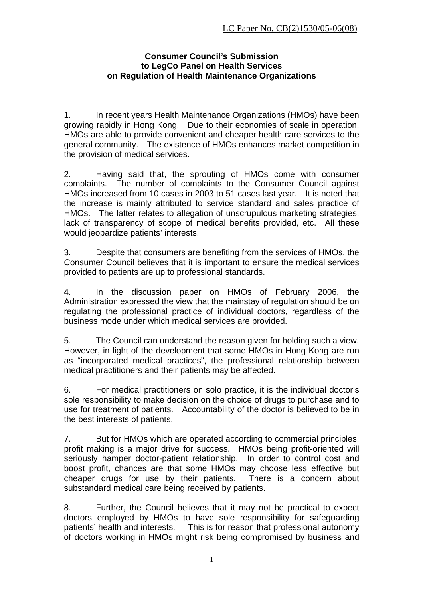### **Consumer Council's Submission to LegCo Panel on Health Services on Regulation of Health Maintenance Organizations**

1. In recent years Health Maintenance Organizations (HMOs) have been growing rapidly in Hong Kong. Due to their economies of scale in operation, HMOs are able to provide convenient and cheaper health care services to the general community. The existence of HMOs enhances market competition in the provision of medical services.

2. Having said that, the sprouting of HMOs come with consumer complaints. The number of complaints to the Consumer Council against HMOs increased from 10 cases in 2003 to 51 cases last year. It is noted that the increase is mainly attributed to service standard and sales practice of HMOs. The latter relates to allegation of unscrupulous marketing strategies, lack of transparency of scope of medical benefits provided, etc. All these would jeopardize patients' interests.

3. Despite that consumers are benefiting from the services of HMOs, the Consumer Council believes that it is important to ensure the medical services provided to patients are up to professional standards.

4. In the discussion paper on HMOs of February 2006, the Administration expressed the view that the mainstay of regulation should be on regulating the professional practice of individual doctors, regardless of the business mode under which medical services are provided.

5. The Council can understand the reason given for holding such a view. However, in light of the development that some HMOs in Hong Kong are run as "incorporated medical practices", the professional relationship between medical practitioners and their patients may be affected.

6. For medical practitioners on solo practice, it is the individual doctor's sole responsibility to make decision on the choice of drugs to purchase and to use for treatment of patients. Accountability of the doctor is believed to be in the best interests of patients.

7. But for HMOs which are operated according to commercial principles, profit making is a major drive for success. HMOs being profit-oriented will seriously hamper doctor-patient relationship. In order to control cost and boost profit, chances are that some HMOs may choose less effective but cheaper drugs for use by their patients. There is a concern about substandard medical care being received by patients.

8. Further, the Council believes that it may not be practical to expect doctors employed by HMOs to have sole responsibility for safeguarding patients' health and interests. This is for reason that professional autonomy of doctors working in HMOs might risk being compromised by business and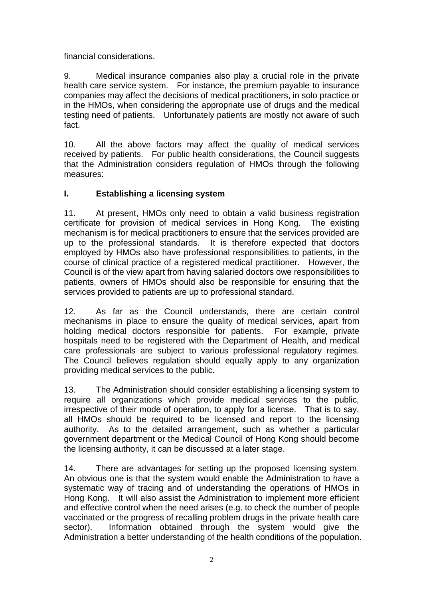financial considerations.

9. Medical insurance companies also play a crucial role in the private health care service system. For instance, the premium payable to insurance companies may affect the decisions of medical practitioners, in solo practice or in the HMOs, when considering the appropriate use of drugs and the medical testing need of patients. Unfortunately patients are mostly not aware of such fact.

10. All the above factors may affect the quality of medical services received by patients. For public health considerations, the Council suggests that the Administration considers regulation of HMOs through the following measures:

## **I. Establishing a licensing system**

11. At present, HMOs only need to obtain a valid business registration certificate for provision of medical services in Hong Kong. The existing mechanism is for medical practitioners to ensure that the services provided are up to the professional standards. It is therefore expected that doctors employed by HMOs also have professional responsibilities to patients, in the course of clinical practice of a registered medical practitioner. However, the Council is of the view apart from having salaried doctors owe responsibilities to patients, owners of HMOs should also be responsible for ensuring that the services provided to patients are up to professional standard.

12. As far as the Council understands, there are certain control mechanisms in place to ensure the quality of medical services, apart from holding medical doctors responsible for patients. For example, private hospitals need to be registered with the Department of Health, and medical care professionals are subject to various professional regulatory regimes. The Council believes regulation should equally apply to any organization providing medical services to the public.

13. The Administration should consider establishing a licensing system to require all organizations which provide medical services to the public, irrespective of their mode of operation, to apply for a license. That is to say, all HMOs should be required to be licensed and report to the licensing authority. As to the detailed arrangement, such as whether a particular government department or the Medical Council of Hong Kong should become the licensing authority, it can be discussed at a later stage.

14. There are advantages for setting up the proposed licensing system. An obvious one is that the system would enable the Administration to have a systematic way of tracing and of understanding the operations of HMOs in Hong Kong. It will also assist the Administration to implement more efficient and effective control when the need arises (e.g. to check the number of people vaccinated or the progress of recalling problem drugs in the private health care sector). Information obtained through the system would give the Administration a better understanding of the health conditions of the population.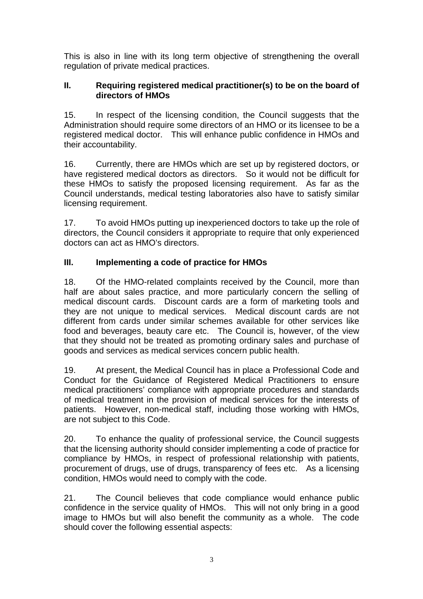This is also in line with its long term objective of strengthening the overall regulation of private medical practices.

## **II. Requiring registered medical practitioner(s) to be on the board of directors of HMOs**

15. In respect of the licensing condition, the Council suggests that the Administration should require some directors of an HMO or its licensee to be a registered medical doctor. This will enhance public confidence in HMOs and their accountability.

16. Currently, there are HMOs which are set up by registered doctors, or have registered medical doctors as directors. So it would not be difficult for these HMOs to satisfy the proposed licensing requirement. As far as the Council understands, medical testing laboratories also have to satisfy similar licensing requirement.

17. To avoid HMOs putting up inexperienced doctors to take up the role of directors, the Council considers it appropriate to require that only experienced doctors can act as HMO's directors.

# **III. Implementing a code of practice for HMOs**

18. Of the HMO-related complaints received by the Council, more than half are about sales practice, and more particularly concern the selling of medical discount cards. Discount cards are a form of marketing tools and they are not unique to medical services. Medical discount cards are not different from cards under similar schemes available for other services like food and beverages, beauty care etc. The Council is, however, of the view that they should not be treated as promoting ordinary sales and purchase of goods and services as medical services concern public health.

19. At present, the Medical Council has in place a Professional Code and Conduct for the Guidance of Registered Medical Practitioners to ensure medical practitioners' compliance with appropriate procedures and standards of medical treatment in the provision of medical services for the interests of patients. However, non-medical staff, including those working with HMOs, are not subject to this Code.

20. To enhance the quality of professional service, the Council suggests that the licensing authority should consider implementing a code of practice for compliance by HMOs, in respect of professional relationship with patients, procurement of drugs, use of drugs, transparency of fees etc. As a licensing condition, HMOs would need to comply with the code.

21. The Council believes that code compliance would enhance public confidence in the service quality of HMOs. This will not only bring in a good image to HMOs but will also benefit the community as a whole. The code should cover the following essential aspects: